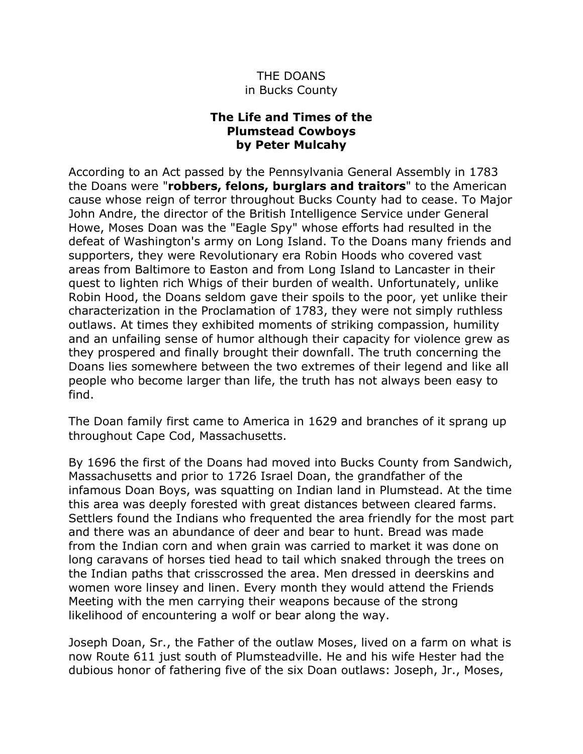## THE DOANS in Bucks County

## **The Life and Times of the Plumstead Cowboys by Peter Mulcahy**

According to an Act passed by the Pennsylvania General Assembly in 1783 the Doans were "**robbers, felons, burglars and traitors**" to the American cause whose reign of terror throughout Bucks County had to cease. To Major John Andre, the director of the British Intelligence Service under General Howe, Moses Doan was the "Eagle Spy" whose efforts had resulted in the defeat of Washington's army on Long Island. To the Doans many friends and supporters, they were Revolutionary era Robin Hoods who covered vast areas from Baltimore to Easton and from Long Island to Lancaster in their quest to lighten rich Whigs of their burden of wealth. Unfortunately, unlike Robin Hood, the Doans seldom gave their spoils to the poor, yet unlike their characterization in the Proclamation of 1783, they were not simply ruthless outlaws. At times they exhibited moments of striking compassion, humility and an unfailing sense of humor although their capacity for violence grew as they prospered and finally brought their downfall. The truth concerning the Doans lies somewhere between the two extremes of their legend and like all people who become larger than life, the truth has not always been easy to find.

The Doan family first came to America in 1629 and branches of it sprang up throughout Cape Cod, Massachusetts.

By 1696 the first of the Doans had moved into Bucks County from Sandwich, Massachusetts and prior to 1726 Israel Doan, the grandfather of the infamous Doan Boys, was squatting on Indian land in Plumstead. At the time this area was deeply forested with great distances between cleared farms. Settlers found the Indians who frequented the area friendly for the most part and there was an abundance of deer and bear to hunt. Bread was made from the Indian corn and when grain was carried to market it was done on long caravans of horses tied head to tail which snaked through the trees on the Indian paths that crisscrossed the area. Men dressed in deerskins and women wore linsey and linen. Every month they would attend the Friends Meeting with the men carrying their weapons because of the strong likelihood of encountering a wolf or bear along the way.

Joseph Doan, Sr., the Father of the outlaw Moses, lived on a farm on what is now Route 611 just south of Plumsteadville. He and his wife Hester had the dubious honor of fathering five of the six Doan outlaws: Joseph, Jr., Moses,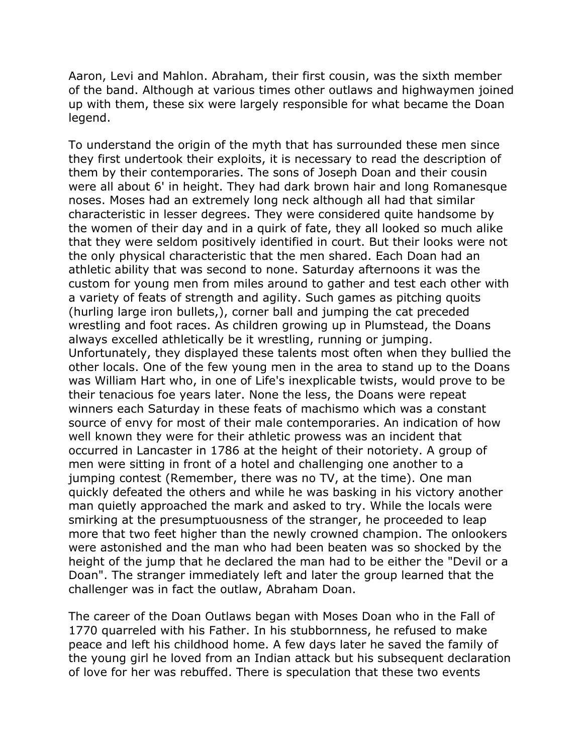Aaron, Levi and Mahlon. Abraham, their first cousin, was the sixth member of the band. Although at various times other outlaws and highwaymen joined up with them, these six were largely responsible for what became the Doan legend.

To understand the origin of the myth that has surrounded these men since they first undertook their exploits, it is necessary to read the description of them by their contemporaries. The sons of Joseph Doan and their cousin were all about 6' in height. They had dark brown hair and long Romanesque noses. Moses had an extremely long neck although all had that similar characteristic in lesser degrees. They were considered quite handsome by the women of their day and in a quirk of fate, they all looked so much alike that they were seldom positively identified in court. But their looks were not the only physical characteristic that the men shared. Each Doan had an athletic ability that was second to none. Saturday afternoons it was the custom for young men from miles around to gather and test each other with a variety of feats of strength and agility. Such games as pitching quoits (hurling large iron bullets,), corner ball and jumping the cat preceded wrestling and foot races. As children growing up in Plumstead, the Doans always excelled athletically be it wrestling, running or jumping. Unfortunately, they displayed these talents most often when they bullied the other locals. One of the few young men in the area to stand up to the Doans was William Hart who, in one of Life's inexplicable twists, would prove to be their tenacious foe years later. None the less, the Doans were repeat winners each Saturday in these feats of machismo which was a constant source of envy for most of their male contemporaries. An indication of how well known they were for their athletic prowess was an incident that occurred in Lancaster in 1786 at the height of their notoriety. A group of men were sitting in front of a hotel and challenging one another to a jumping contest (Remember, there was no TV, at the time). One man quickly defeated the others and while he was basking in his victory another man quietly approached the mark and asked to try. While the locals were smirking at the presumptuousness of the stranger, he proceeded to leap more that two feet higher than the newly crowned champion. The onlookers were astonished and the man who had been beaten was so shocked by the height of the jump that he declared the man had to be either the "Devil or a Doan". The stranger immediately left and later the group learned that the challenger was in fact the outlaw, Abraham Doan.

The career of the Doan Outlaws began with Moses Doan who in the Fall of 1770 quarreled with his Father. In his stubbornness, he refused to make peace and left his childhood home. A few days later he saved the family of the young girl he loved from an Indian attack but his subsequent declaration of love for her was rebuffed. There is speculation that these two events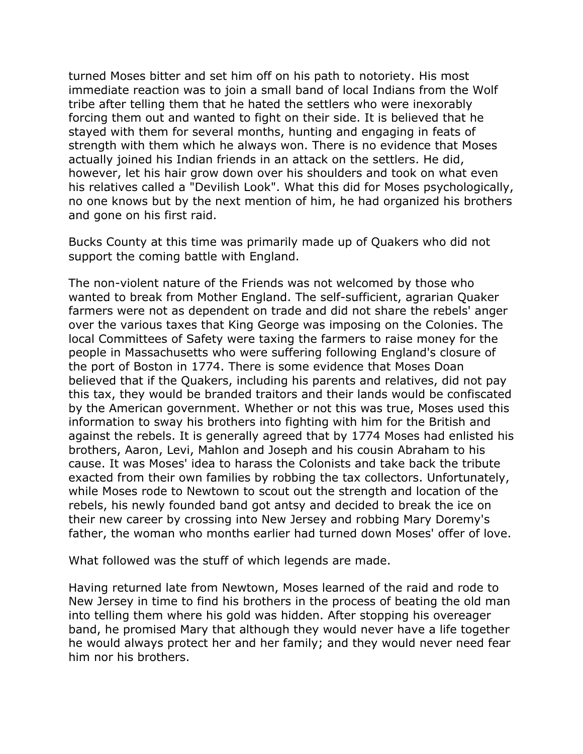turned Moses bitter and set him off on his path to notoriety. His most immediate reaction was to join a small band of local Indians from the Wolf tribe after telling them that he hated the settlers who were inexorably forcing them out and wanted to fight on their side. It is believed that he stayed with them for several months, hunting and engaging in feats of strength with them which he always won. There is no evidence that Moses actually joined his Indian friends in an attack on the settlers. He did, however, let his hair grow down over his shoulders and took on what even his relatives called a "Devilish Look". What this did for Moses psychologically, no one knows but by the next mention of him, he had organized his brothers and gone on his first raid.

Bucks County at this time was primarily made up of Quakers who did not support the coming battle with England.

The non-violent nature of the Friends was not welcomed by those who wanted to break from Mother England. The self-sufficient, agrarian Quaker farmers were not as dependent on trade and did not share the rebels' anger over the various taxes that King George was imposing on the Colonies. The local Committees of Safety were taxing the farmers to raise money for the people in Massachusetts who were suffering following England's closure of the port of Boston in 1774. There is some evidence that Moses Doan believed that if the Quakers, including his parents and relatives, did not pay this tax, they would be branded traitors and their lands would be confiscated by the American government. Whether or not this was true, Moses used this information to sway his brothers into fighting with him for the British and against the rebels. It is generally agreed that by 1774 Moses had enlisted his brothers, Aaron, Levi, Mahlon and Joseph and his cousin Abraham to his cause. It was Moses' idea to harass the Colonists and take back the tribute exacted from their own families by robbing the tax collectors. Unfortunately, while Moses rode to Newtown to scout out the strength and location of the rebels, his newly founded band got antsy and decided to break the ice on their new career by crossing into New Jersey and robbing Mary Doremy's father, the woman who months earlier had turned down Moses' offer of love.

What followed was the stuff of which legends are made.

Having returned late from Newtown, Moses learned of the raid and rode to New Jersey in time to find his brothers in the process of beating the old man into telling them where his gold was hidden. After stopping his overeager band, he promised Mary that although they would never have a life together he would always protect her and her family; and they would never need fear him nor his brothers.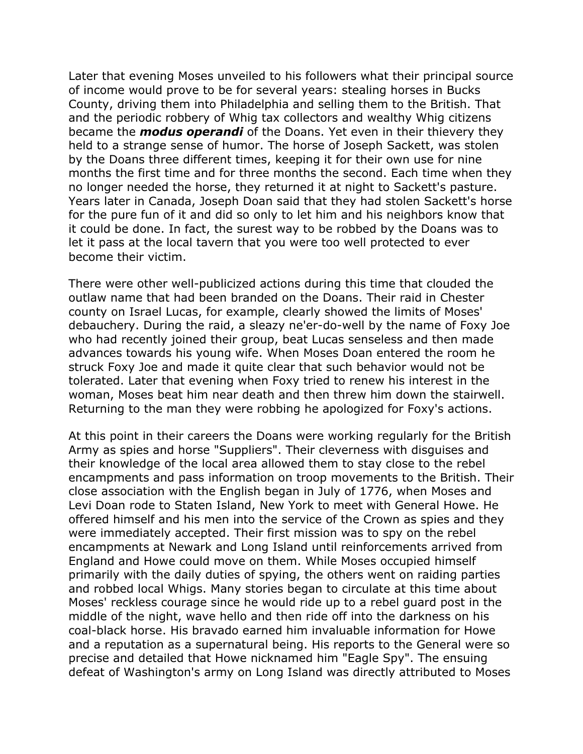Later that evening Moses unveiled to his followers what their principal source of income would prove to be for several years: stealing horses in Bucks County, driving them into Philadelphia and selling them to the British. That and the periodic robbery of Whig tax collectors and wealthy Whig citizens became the *modus operandi* of the Doans. Yet even in their thievery they held to a strange sense of humor. The horse of Joseph Sackett, was stolen by the Doans three different times, keeping it for their own use for nine months the first time and for three months the second. Each time when they no longer needed the horse, they returned it at night to Sackett's pasture. Years later in Canada, Joseph Doan said that they had stolen Sackett's horse for the pure fun of it and did so only to let him and his neighbors know that it could be done. In fact, the surest way to be robbed by the Doans was to let it pass at the local tavern that you were too well protected to ever become their victim.

There were other well-publicized actions during this time that clouded the outlaw name that had been branded on the Doans. Their raid in Chester county on Israel Lucas, for example, clearly showed the limits of Moses' debauchery. During the raid, a sleazy ne'er-do-well by the name of Foxy Joe who had recently joined their group, beat Lucas senseless and then made advances towards his young wife. When Moses Doan entered the room he struck Foxy Joe and made it quite clear that such behavior would not be tolerated. Later that evening when Foxy tried to renew his interest in the woman, Moses beat him near death and then threw him down the stairwell. Returning to the man they were robbing he apologized for Foxy's actions.

At this point in their careers the Doans were working regularly for the British Army as spies and horse "Suppliers". Their cleverness with disguises and their knowledge of the local area allowed them to stay close to the rebel encampments and pass information on troop movements to the British. Their close association with the English began in July of 1776, when Moses and Levi Doan rode to Staten Island, New York to meet with General Howe. He offered himself and his men into the service of the Crown as spies and they were immediately accepted. Their first mission was to spy on the rebel encampments at Newark and Long Island until reinforcements arrived from England and Howe could move on them. While Moses occupied himself primarily with the daily duties of spying, the others went on raiding parties and robbed local Whigs. Many stories began to circulate at this time about Moses' reckless courage since he would ride up to a rebel guard post in the middle of the night, wave hello and then ride off into the darkness on his coal-black horse. His bravado earned him invaluable information for Howe and a reputation as a supernatural being. His reports to the General were so precise and detailed that Howe nicknamed him "Eagle Spy". The ensuing defeat of Washington's army on Long Island was directly attributed to Moses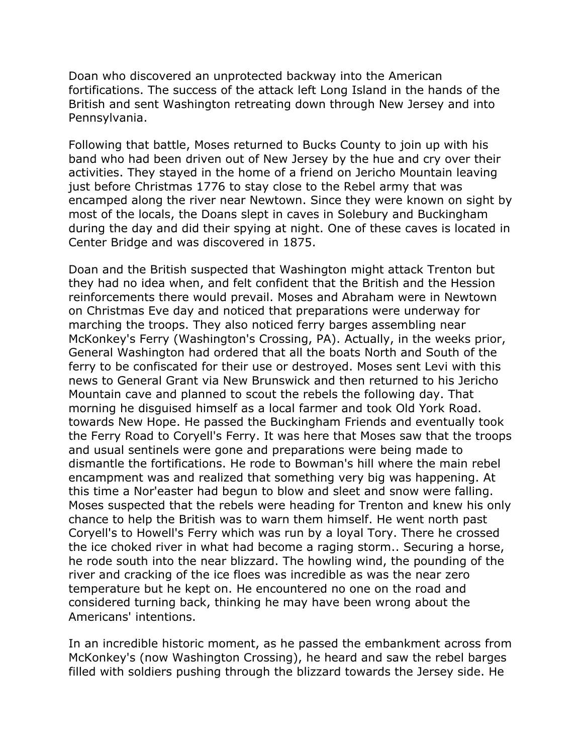Doan who discovered an unprotected backway into the American fortifications. The success of the attack left Long Island in the hands of the British and sent Washington retreating down through New Jersey and into Pennsylvania.

Following that battle, Moses returned to Bucks County to join up with his band who had been driven out of New Jersey by the hue and cry over their activities. They stayed in the home of a friend on Jericho Mountain leaving just before Christmas 1776 to stay close to the Rebel army that was encamped along the river near Newtown. Since they were known on sight by most of the locals, the Doans slept in caves in Solebury and Buckingham during the day and did their spying at night. One of these caves is located in Center Bridge and was discovered in 1875.

Doan and the British suspected that Washington might attack Trenton but they had no idea when, and felt confident that the British and the Hession reinforcements there would prevail. Moses and Abraham were in Newtown on Christmas Eve day and noticed that preparations were underway for marching the troops. They also noticed ferry barges assembling near McKonkey's Ferry (Washington's Crossing, PA). Actually, in the weeks prior, General Washington had ordered that all the boats North and South of the ferry to be confiscated for their use or destroyed. Moses sent Levi with this news to General Grant via New Brunswick and then returned to his Jericho Mountain cave and planned to scout the rebels the following day. That morning he disguised himself as a local farmer and took Old York Road. towards New Hope. He passed the Buckingham Friends and eventually took the Ferry Road to Coryell's Ferry. It was here that Moses saw that the troops and usual sentinels were gone and preparations were being made to dismantle the fortifications. He rode to Bowman's hill where the main rebel encampment was and realized that something very big was happening. At this time a Nor'easter had begun to blow and sleet and snow were falling. Moses suspected that the rebels were heading for Trenton and knew his only chance to help the British was to warn them himself. He went north past Coryell's to Howell's Ferry which was run by a loyal Tory. There he crossed the ice choked river in what had become a raging storm.. Securing a horse, he rode south into the near blizzard. The howling wind, the pounding of the river and cracking of the ice floes was incredible as was the near zero temperature but he kept on. He encountered no one on the road and considered turning back, thinking he may have been wrong about the Americans' intentions.

In an incredible historic moment, as he passed the embankment across from McKonkey's (now Washington Crossing), he heard and saw the rebel barges filled with soldiers pushing through the blizzard towards the Jersey side. He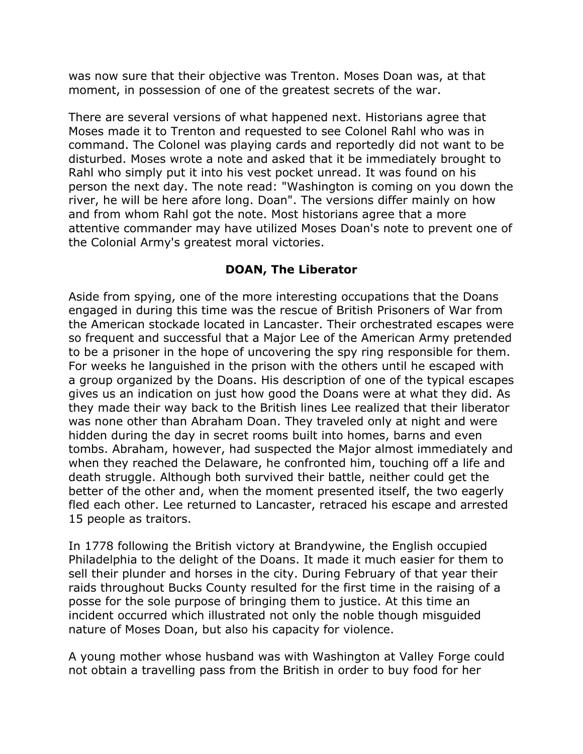was now sure that their objective was Trenton. Moses Doan was, at that moment, in possession of one of the greatest secrets of the war.

There are several versions of what happened next. Historians agree that Moses made it to Trenton and requested to see Colonel Rahl who was in command. The Colonel was playing cards and reportedly did not want to be disturbed. Moses wrote a note and asked that it be immediately brought to Rahl who simply put it into his vest pocket unread. It was found on his person the next day. The note read: "Washington is coming on you down the river, he will be here afore long. Doan". The versions differ mainly on how and from whom Rahl got the note. Most historians agree that a more attentive commander may have utilized Moses Doan's note to prevent one of the Colonial Army's greatest moral victories.

## **DOAN, The Liberator**

Aside from spying, one of the more interesting occupations that the Doans engaged in during this time was the rescue of British Prisoners of War from the American stockade located in Lancaster. Their orchestrated escapes were so frequent and successful that a Major Lee of the American Army pretended to be a prisoner in the hope of uncovering the spy ring responsible for them. For weeks he languished in the prison with the others until he escaped with a group organized by the Doans. His description of one of the typical escapes gives us an indication on just how good the Doans were at what they did. As they made their way back to the British lines Lee realized that their liberator was none other than Abraham Doan. They traveled only at night and were hidden during the day in secret rooms built into homes, barns and even tombs. Abraham, however, had suspected the Major almost immediately and when they reached the Delaware, he confronted him, touching off a life and death struggle. Although both survived their battle, neither could get the better of the other and, when the moment presented itself, the two eagerly fled each other. Lee returned to Lancaster, retraced his escape and arrested 15 people as traitors.

In 1778 following the British victory at Brandywine, the English occupied Philadelphia to the delight of the Doans. It made it much easier for them to sell their plunder and horses in the city. During February of that year their raids throughout Bucks County resulted for the first time in the raising of a posse for the sole purpose of bringing them to justice. At this time an incident occurred which illustrated not only the noble though misguided nature of Moses Doan, but also his capacity for violence.

A young mother whose husband was with Washington at Valley Forge could not obtain a travelling pass from the British in order to buy food for her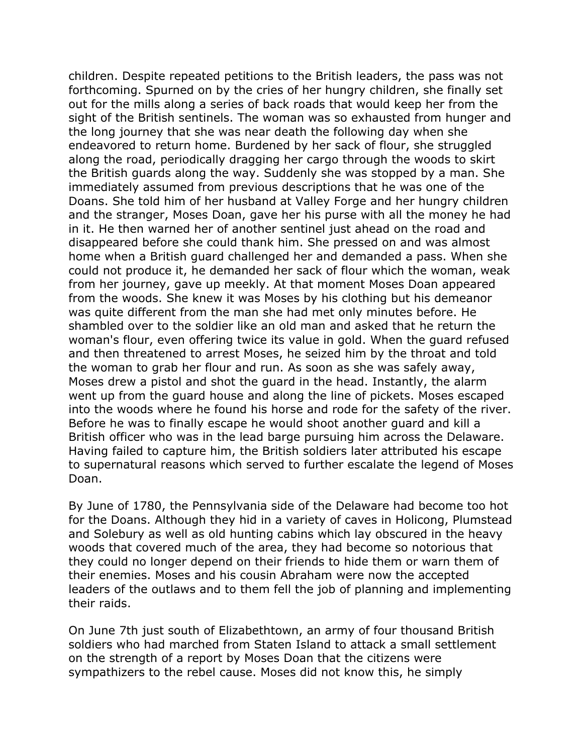children. Despite repeated petitions to the British leaders, the pass was not forthcoming. Spurned on by the cries of her hungry children, she finally set out for the mills along a series of back roads that would keep her from the sight of the British sentinels. The woman was so exhausted from hunger and the long journey that she was near death the following day when she endeavored to return home. Burdened by her sack of flour, she struggled along the road, periodically dragging her cargo through the woods to skirt the British guards along the way. Suddenly she was stopped by a man. She immediately assumed from previous descriptions that he was one of the Doans. She told him of her husband at Valley Forge and her hungry children and the stranger, Moses Doan, gave her his purse with all the money he had in it. He then warned her of another sentinel just ahead on the road and disappeared before she could thank him. She pressed on and was almost home when a British guard challenged her and demanded a pass. When she could not produce it, he demanded her sack of flour which the woman, weak from her journey, gave up meekly. At that moment Moses Doan appeared from the woods. She knew it was Moses by his clothing but his demeanor was quite different from the man she had met only minutes before. He shambled over to the soldier like an old man and asked that he return the woman's flour, even offering twice its value in gold. When the guard refused and then threatened to arrest Moses, he seized him by the throat and told the woman to grab her flour and run. As soon as she was safely away, Moses drew a pistol and shot the guard in the head. Instantly, the alarm went up from the guard house and along the line of pickets. Moses escaped into the woods where he found his horse and rode for the safety of the river. Before he was to finally escape he would shoot another guard and kill a British officer who was in the lead barge pursuing him across the Delaware. Having failed to capture him, the British soldiers later attributed his escape to supernatural reasons which served to further escalate the legend of Moses Doan.

By June of 1780, the Pennsylvania side of the Delaware had become too hot for the Doans. Although they hid in a variety of caves in Holicong, Plumstead and Solebury as well as old hunting cabins which lay obscured in the heavy woods that covered much of the area, they had become so notorious that they could no longer depend on their friends to hide them or warn them of their enemies. Moses and his cousin Abraham were now the accepted leaders of the outlaws and to them fell the job of planning and implementing their raids.

On June 7th just south of Elizabethtown, an army of four thousand British soldiers who had marched from Staten Island to attack a small settlement on the strength of a report by Moses Doan that the citizens were sympathizers to the rebel cause. Moses did not know this, he simply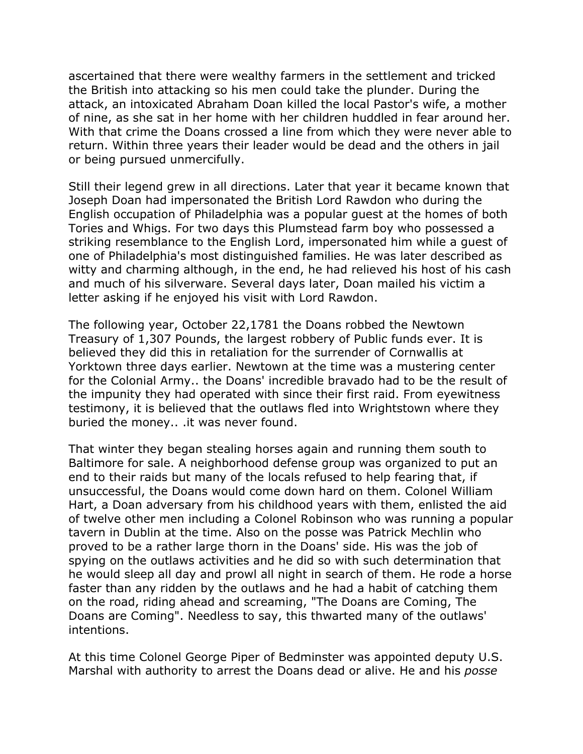ascertained that there were wealthy farmers in the settlement and tricked the British into attacking so his men could take the plunder. During the attack, an intoxicated Abraham Doan killed the local Pastor's wife, a mother of nine, as she sat in her home with her children huddled in fear around her. With that crime the Doans crossed a line from which they were never able to return. Within three years their leader would be dead and the others in jail or being pursued unmercifully.

Still their legend grew in all directions. Later that year it became known that Joseph Doan had impersonated the British Lord Rawdon who during the English occupation of Philadelphia was a popular guest at the homes of both Tories and Whigs. For two days this Plumstead farm boy who possessed a striking resemblance to the English Lord, impersonated him while a guest of one of Philadelphia's most distinguished families. He was later described as witty and charming although, in the end, he had relieved his host of his cash and much of his silverware. Several days later, Doan mailed his victim a letter asking if he enjoyed his visit with Lord Rawdon.

The following year, October 22,1781 the Doans robbed the Newtown Treasury of 1,307 Pounds, the largest robbery of Public funds ever. It is believed they did this in retaliation for the surrender of Cornwallis at Yorktown three days earlier. Newtown at the time was a mustering center for the Colonial Army.. the Doans' incredible bravado had to be the result of the impunity they had operated with since their first raid. From eyewitness testimony, it is believed that the outlaws fled into Wrightstown where they buried the money.. .it was never found.

That winter they began stealing horses again and running them south to Baltimore for sale. A neighborhood defense group was organized to put an end to their raids but many of the locals refused to help fearing that, if unsuccessful, the Doans would come down hard on them. Colonel William Hart, a Doan adversary from his childhood years with them, enlisted the aid of twelve other men including a Colonel Robinson who was running a popular tavern in Dublin at the time. Also on the posse was Patrick Mechlin who proved to be a rather large thorn in the Doans' side. His was the job of spying on the outlaws activities and he did so with such determination that he would sleep all day and prowl all night in search of them. He rode a horse faster than any ridden by the outlaws and he had a habit of catching them on the road, riding ahead and screaming, "The Doans are Coming, The Doans are Coming". Needless to say, this thwarted many of the outlaws' intentions.

At this time Colonel George Piper of Bedminster was appointed deputy U.S. Marshal with authority to arrest the Doans dead or alive. He and his *posse*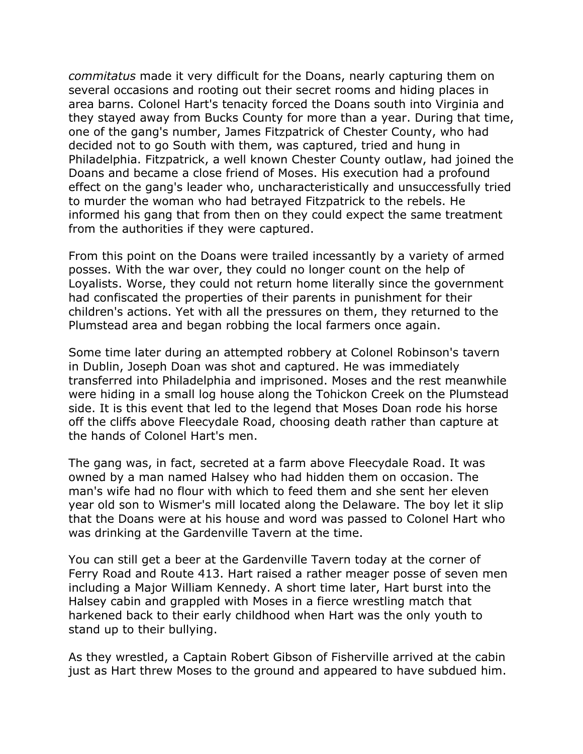*commitatus* made it very difficult for the Doans, nearly capturing them on several occasions and rooting out their secret rooms and hiding places in area barns. Colonel Hart's tenacity forced the Doans south into Virginia and they stayed away from Bucks County for more than a year. During that time, one of the gang's number, James Fitzpatrick of Chester County, who had decided not to go South with them, was captured, tried and hung in Philadelphia. Fitzpatrick, a well known Chester County outlaw, had joined the Doans and became a close friend of Moses. His execution had a profound effect on the gang's leader who, uncharacteristically and unsuccessfully tried to murder the woman who had betrayed Fitzpatrick to the rebels. He informed his gang that from then on they could expect the same treatment from the authorities if they were captured.

From this point on the Doans were trailed incessantly by a variety of armed posses. With the war over, they could no longer count on the help of Loyalists. Worse, they could not return home literally since the government had confiscated the properties of their parents in punishment for their children's actions. Yet with all the pressures on them, they returned to the Plumstead area and began robbing the local farmers once again.

Some time later during an attempted robbery at Colonel Robinson's tavern in Dublin, Joseph Doan was shot and captured. He was immediately transferred into Philadelphia and imprisoned. Moses and the rest meanwhile were hiding in a small log house along the Tohickon Creek on the Plumstead side. It is this event that led to the legend that Moses Doan rode his horse off the cliffs above Fleecydale Road, choosing death rather than capture at the hands of Colonel Hart's men.

The gang was, in fact, secreted at a farm above Fleecydale Road. It was owned by a man named Halsey who had hidden them on occasion. The man's wife had no flour with which to feed them and she sent her eleven year old son to Wismer's mill located along the Delaware. The boy let it slip that the Doans were at his house and word was passed to Colonel Hart who was drinking at the Gardenville Tavern at the time.

You can still get a beer at the Gardenville Tavern today at the corner of Ferry Road and Route 413. Hart raised a rather meager posse of seven men including a Major William Kennedy. A short time later, Hart burst into the Halsey cabin and grappled with Moses in a fierce wrestling match that harkened back to their early childhood when Hart was the only youth to stand up to their bullying.

As they wrestled, a Captain Robert Gibson of Fisherville arrived at the cabin just as Hart threw Moses to the ground and appeared to have subdued him.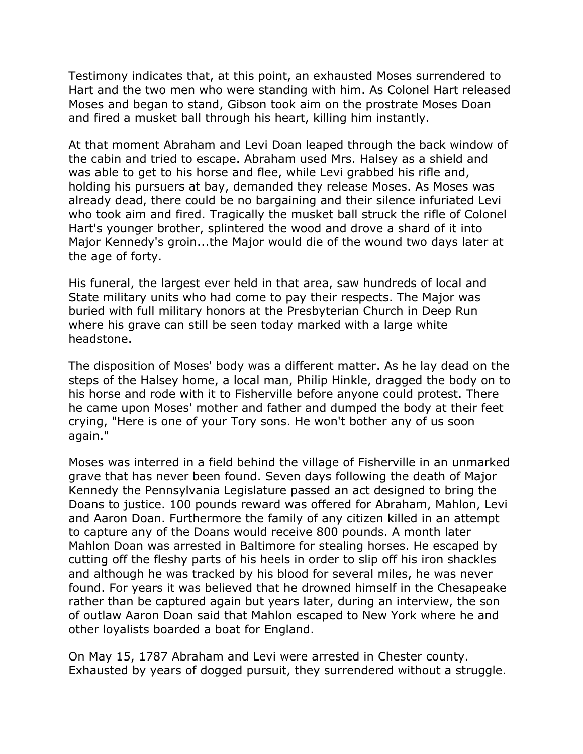Testimony indicates that, at this point, an exhausted Moses surrendered to Hart and the two men who were standing with him. As Colonel Hart released Moses and began to stand, Gibson took aim on the prostrate Moses Doan and fired a musket ball through his heart, killing him instantly.

At that moment Abraham and Levi Doan leaped through the back window of the cabin and tried to escape. Abraham used Mrs. Halsey as a shield and was able to get to his horse and flee, while Levi grabbed his rifle and, holding his pursuers at bay, demanded they release Moses. As Moses was already dead, there could be no bargaining and their silence infuriated Levi who took aim and fired. Tragically the musket ball struck the rifle of Colonel Hart's younger brother, splintered the wood and drove a shard of it into Major Kennedy's groin...the Major would die of the wound two days later at the age of forty.

His funeral, the largest ever held in that area, saw hundreds of local and State military units who had come to pay their respects. The Major was buried with full military honors at the Presbyterian Church in Deep Run where his grave can still be seen today marked with a large white headstone.

The disposition of Moses' body was a different matter. As he lay dead on the steps of the Halsey home, a local man, Philip Hinkle, dragged the body on to his horse and rode with it to Fisherville before anyone could protest. There he came upon Moses' mother and father and dumped the body at their feet crying, "Here is one of your Tory sons. He won't bother any of us soon again."

Moses was interred in a field behind the village of Fisherville in an unmarked grave that has never been found. Seven days following the death of Major Kennedy the Pennsylvania Legislature passed an act designed to bring the Doans to justice. 100 pounds reward was offered for Abraham, Mahlon, Levi and Aaron Doan. Furthermore the family of any citizen killed in an attempt to capture any of the Doans would receive 800 pounds. A month later Mahlon Doan was arrested in Baltimore for stealing horses. He escaped by cutting off the fleshy parts of his heels in order to slip off his iron shackles and although he was tracked by his blood for several miles, he was never found. For years it was believed that he drowned himself in the Chesapeake rather than be captured again but years later, during an interview, the son of outlaw Aaron Doan said that Mahlon escaped to New York where he and other loyalists boarded a boat for England.

On May 15, 1787 Abraham and Levi were arrested in Chester county. Exhausted by years of dogged pursuit, they surrendered without a struggle.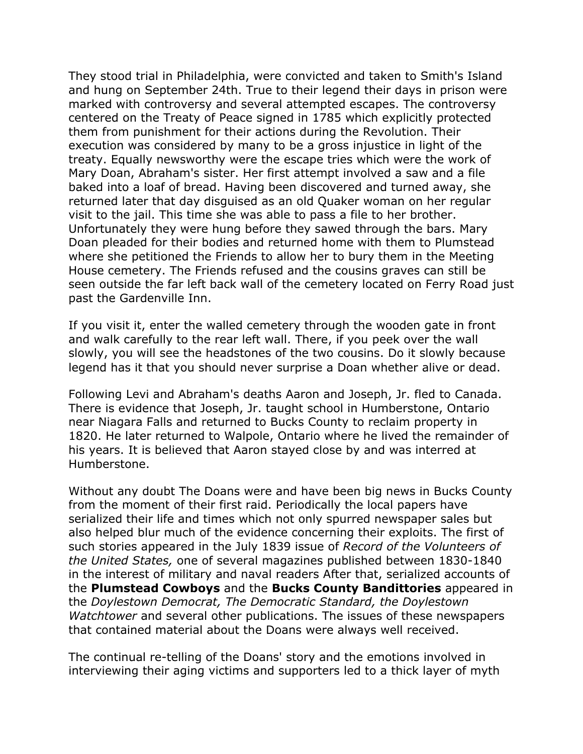They stood trial in Philadelphia, were convicted and taken to Smith's Island and hung on September 24th. True to their legend their days in prison were marked with controversy and several attempted escapes. The controversy centered on the Treaty of Peace signed in 1785 which explicitly protected them from punishment for their actions during the Revolution. Their execution was considered by many to be a gross injustice in light of the treaty. Equally newsworthy were the escape tries which were the work of Mary Doan, Abraham's sister. Her first attempt involved a saw and a file baked into a loaf of bread. Having been discovered and turned away, she returned later that day disguised as an old Quaker woman on her regular visit to the jail. This time she was able to pass a file to her brother. Unfortunately they were hung before they sawed through the bars. Mary Doan pleaded for their bodies and returned home with them to Plumstead where she petitioned the Friends to allow her to bury them in the Meeting House cemetery. The Friends refused and the cousins graves can still be seen outside the far left back wall of the cemetery located on Ferry Road just past the Gardenville Inn.

If you visit it, enter the walled cemetery through the wooden gate in front and walk carefully to the rear left wall. There, if you peek over the wall slowly, you will see the headstones of the two cousins. Do it slowly because legend has it that you should never surprise a Doan whether alive or dead.

Following Levi and Abraham's deaths Aaron and Joseph, Jr. fled to Canada. There is evidence that Joseph, Jr. taught school in Humberstone, Ontario near Niagara Falls and returned to Bucks County to reclaim property in 1820. He later returned to Walpole, Ontario where he lived the remainder of his years. It is believed that Aaron stayed close by and was interred at Humberstone.

Without any doubt The Doans were and have been big news in Bucks County from the moment of their first raid. Periodically the local papers have serialized their life and times which not only spurred newspaper sales but also helped blur much of the evidence concerning their exploits. The first of such stories appeared in the July 1839 issue of *Record of the Volunteers of the United States,* one of several magazines published between 1830-1840 in the interest of military and naval readers After that, serialized accounts of the **Plumstead Cowboys** and the **Bucks County Bandittories** appeared in the *Doylestown Democrat, The Democratic Standard, the Doylestown Watchtower* and several other publications. The issues of these newspapers that contained material about the Doans were always well received.

The continual re-telling of the Doans' story and the emotions involved in interviewing their aging victims and supporters led to a thick layer of myth